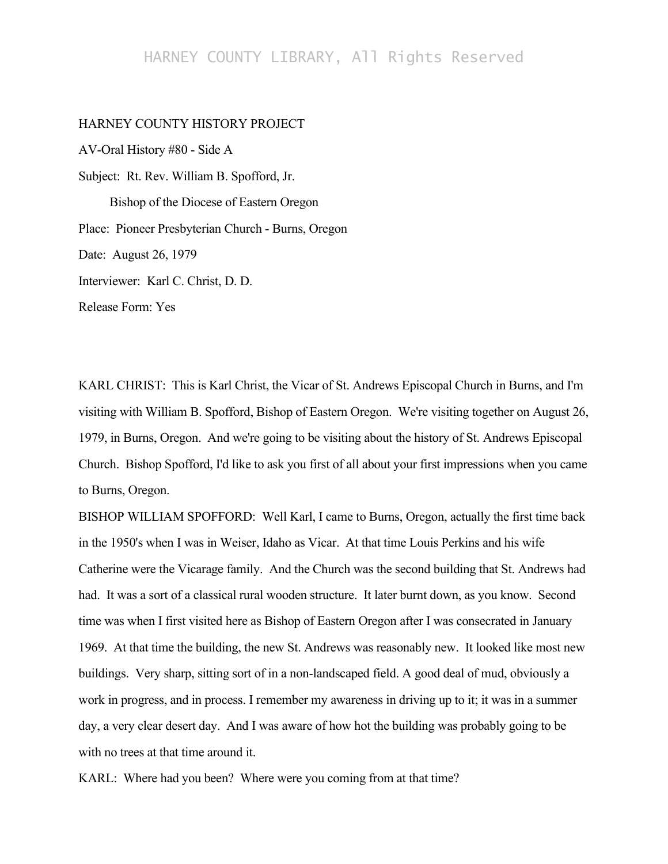## HARNEY COUNTY LIBRARY, All Rights Reserved

## HARNEY COUNTY HISTORY PROJECT

AV-Oral History #80 - Side A Subject: Rt. Rev. William B. Spofford, Jr. Bishop of the Diocese of Eastern Oregon Place: Pioneer Presbyterian Church - Burns, Oregon Date: August 26, 1979 Interviewer: Karl C. Christ, D. D. Release Form: Yes

KARL CHRIST: This is Karl Christ, the Vicar of St. Andrews Episcopal Church in Burns, and I'm visiting with William B. Spofford, Bishop of Eastern Oregon. We're visiting together on August 26, 1979, in Burns, Oregon. And we're going to be visiting about the history of St. Andrews Episcopal Church. Bishop Spofford, I'd like to ask you first of all about your first impressions when you came to Burns, Oregon.

BISHOP WILLIAM SPOFFORD: Well Karl, I came to Burns, Oregon, actually the first time back in the 1950's when I was in Weiser, Idaho as Vicar. At that time Louis Perkins and his wife Catherine were the Vicarage family. And the Church was the second building that St. Andrews had had. It was a sort of a classical rural wooden structure. It later burnt down, as you know. Second time was when I first visited here as Bishop of Eastern Oregon after I was consecrated in January 1969. At that time the building, the new St. Andrews was reasonably new. It looked like most new buildings. Very sharp, sitting sort of in a non-landscaped field. A good deal of mud, obviously a work in progress, and in process. I remember my awareness in driving up to it; it was in a summer day, a very clear desert day. And I was aware of how hot the building was probably going to be with no trees at that time around it.

KARL: Where had you been? Where were you coming from at that time?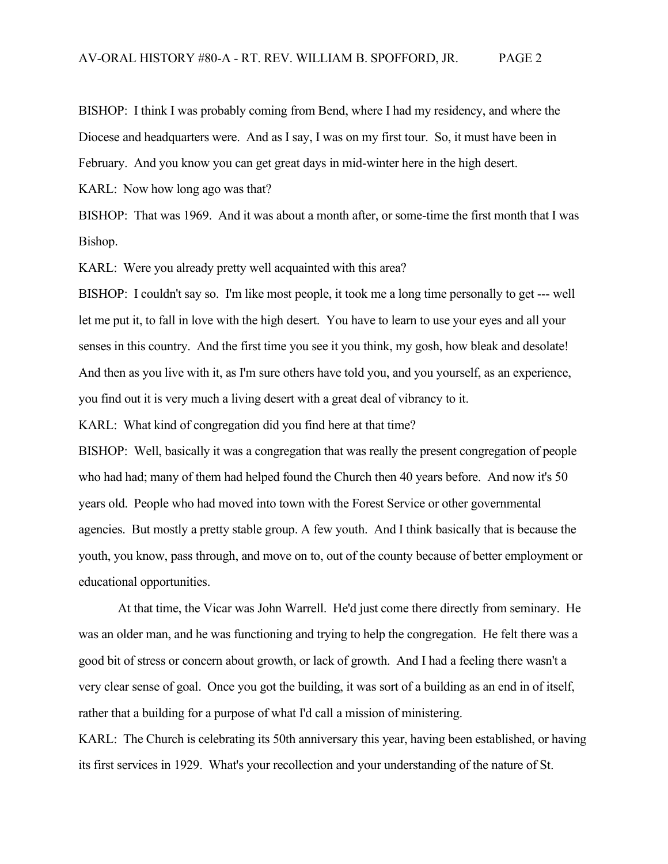BISHOP: I think I was probably coming from Bend, where I had my residency, and where the Diocese and headquarters were. And as I say, I was on my first tour. So, it must have been in February. And you know you can get great days in mid-winter here in the high desert.

KARL: Now how long ago was that?

BISHOP: That was 1969. And it was about a month after, or some-time the first month that I was Bishop.

KARL: Were you already pretty well acquainted with this area?

BISHOP: I couldn't say so. I'm like most people, it took me a long time personally to get --- well let me put it, to fall in love with the high desert. You have to learn to use your eyes and all your senses in this country. And the first time you see it you think, my gosh, how bleak and desolate! And then as you live with it, as I'm sure others have told you, and you yourself, as an experience, you find out it is very much a living desert with a great deal of vibrancy to it.

KARL: What kind of congregation did you find here at that time?

BISHOP: Well, basically it was a congregation that was really the present congregation of people who had had; many of them had helped found the Church then 40 years before. And now it's 50 years old. People who had moved into town with the Forest Service or other governmental agencies. But mostly a pretty stable group. A few youth. And I think basically that is because the youth, you know, pass through, and move on to, out of the county because of better employment or educational opportunities.

At that time, the Vicar was John Warrell. He'd just come there directly from seminary. He was an older man, and he was functioning and trying to help the congregation. He felt there was a good bit of stress or concern about growth, or lack of growth. And I had a feeling there wasn't a very clear sense of goal. Once you got the building, it was sort of a building as an end in of itself, rather that a building for a purpose of what I'd call a mission of ministering.

KARL: The Church is celebrating its 50th anniversary this year, having been established, or having its first services in 1929. What's your recollection and your understanding of the nature of St.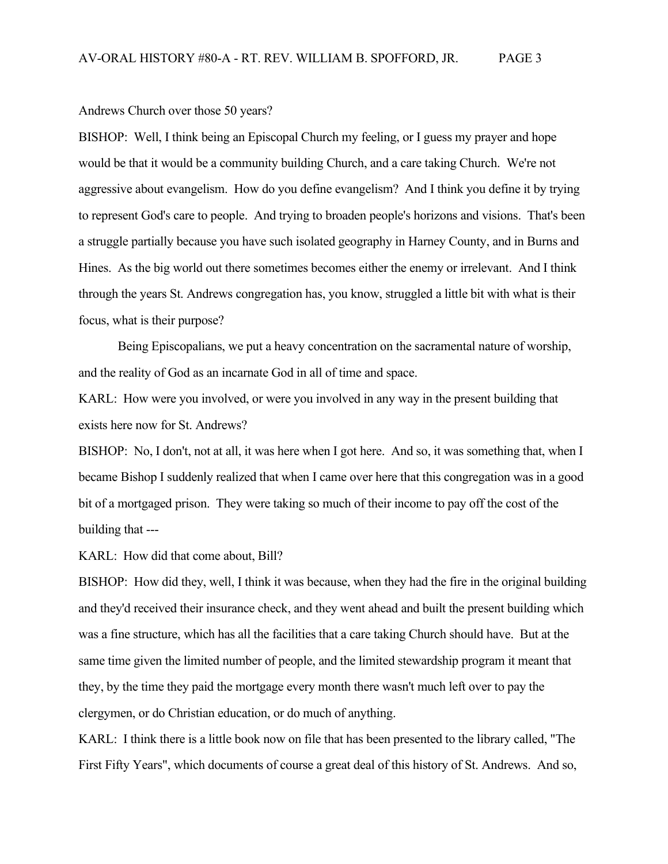Andrews Church over those 50 years?

BISHOP: Well, I think being an Episcopal Church my feeling, or I guess my prayer and hope would be that it would be a community building Church, and a care taking Church. We're not aggressive about evangelism. How do you define evangelism? And I think you define it by trying to represent God's care to people. And trying to broaden people's horizons and visions. That's been a struggle partially because you have such isolated geography in Harney County, and in Burns and Hines. As the big world out there sometimes becomes either the enemy or irrelevant. And I think through the years St. Andrews congregation has, you know, struggled a little bit with what is their focus, what is their purpose?

Being Episcopalians, we put a heavy concentration on the sacramental nature of worship, and the reality of God as an incarnate God in all of time and space.

KARL: How were you involved, or were you involved in any way in the present building that exists here now for St. Andrews?

BISHOP: No, I don't, not at all, it was here when I got here. And so, it was something that, when I became Bishop I suddenly realized that when I came over here that this congregation was in a good bit of a mortgaged prison. They were taking so much of their income to pay off the cost of the building that ---

KARL: How did that come about, Bill?

BISHOP: How did they, well, I think it was because, when they had the fire in the original building and they'd received their insurance check, and they went ahead and built the present building which was a fine structure, which has all the facilities that a care taking Church should have. But at the same time given the limited number of people, and the limited stewardship program it meant that they, by the time they paid the mortgage every month there wasn't much left over to pay the clergymen, or do Christian education, or do much of anything.

KARL: I think there is a little book now on file that has been presented to the library called, "The First Fifty Years", which documents of course a great deal of this history of St. Andrews. And so,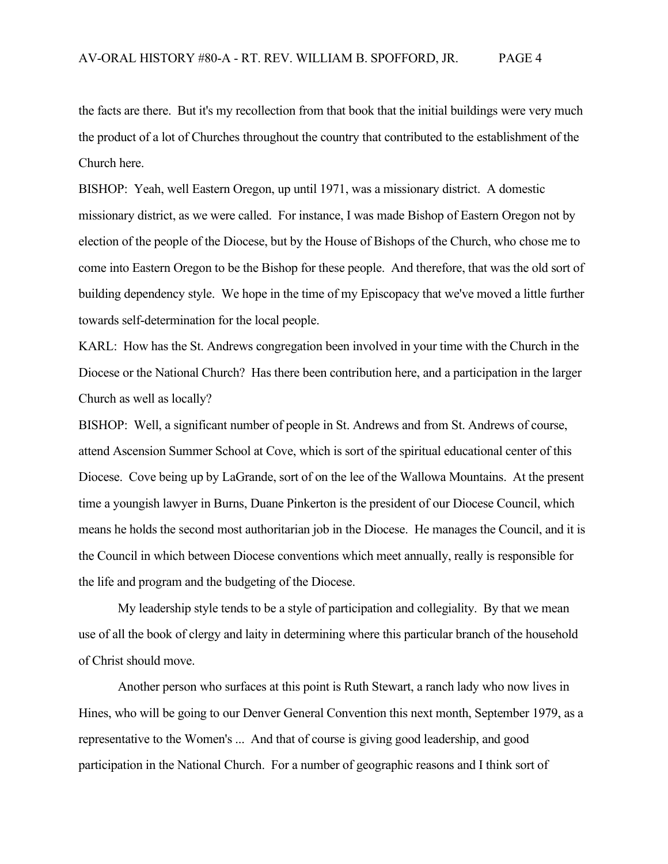the facts are there. But it's my recollection from that book that the initial buildings were very much the product of a lot of Churches throughout the country that contributed to the establishment of the Church here.

BISHOP: Yeah, well Eastern Oregon, up until 1971, was a missionary district. A domestic missionary district, as we were called. For instance, I was made Bishop of Eastern Oregon not by election of the people of the Diocese, but by the House of Bishops of the Church, who chose me to come into Eastern Oregon to be the Bishop for these people. And therefore, that was the old sort of building dependency style. We hope in the time of my Episcopacy that we've moved a little further towards self-determination for the local people.

KARL: How has the St. Andrews congregation been involved in your time with the Church in the Diocese or the National Church? Has there been contribution here, and a participation in the larger Church as well as locally?

BISHOP: Well, a significant number of people in St. Andrews and from St. Andrews of course, attend Ascension Summer School at Cove, which is sort of the spiritual educational center of this Diocese. Cove being up by LaGrande, sort of on the lee of the Wallowa Mountains. At the present time a youngish lawyer in Burns, Duane Pinkerton is the president of our Diocese Council, which means he holds the second most authoritarian job in the Diocese. He manages the Council, and it is the Council in which between Diocese conventions which meet annually, really is responsible for the life and program and the budgeting of the Diocese.

My leadership style tends to be a style of participation and collegiality. By that we mean use of all the book of clergy and laity in determining where this particular branch of the household of Christ should move.

Another person who surfaces at this point is Ruth Stewart, a ranch lady who now lives in Hines, who will be going to our Denver General Convention this next month, September 1979, as a representative to the Women's ... And that of course is giving good leadership, and good participation in the National Church. For a number of geographic reasons and I think sort of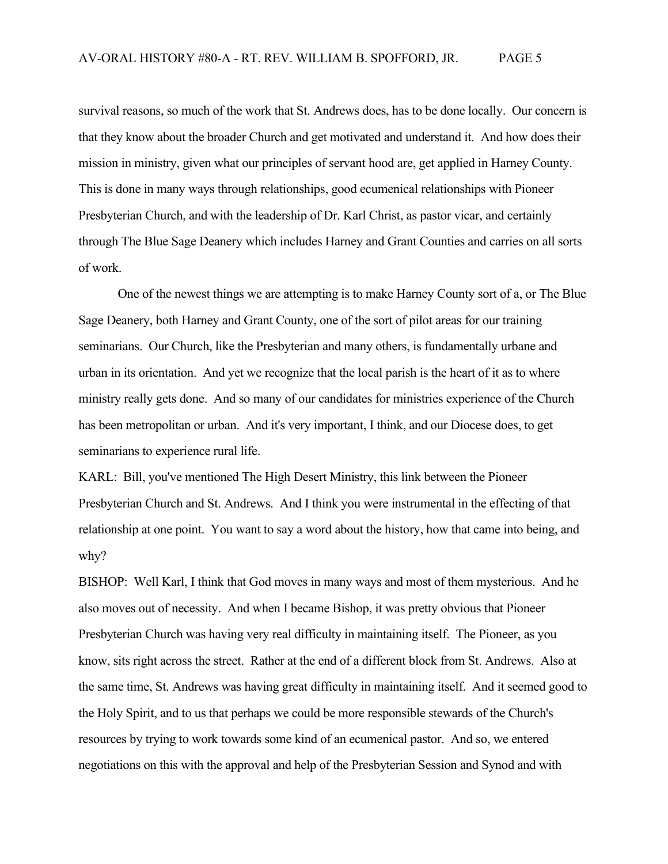survival reasons, so much of the work that St. Andrews does, has to be done locally. Our concern is that they know about the broader Church and get motivated and understand it. And how does their mission in ministry, given what our principles of servant hood are, get applied in Harney County. This is done in many ways through relationships, good ecumenical relationships with Pioneer Presbyterian Church, and with the leadership of Dr. Karl Christ, as pastor vicar, and certainly through The Blue Sage Deanery which includes Harney and Grant Counties and carries on all sorts of work.

One of the newest things we are attempting is to make Harney County sort of a, or The Blue Sage Deanery, both Harney and Grant County, one of the sort of pilot areas for our training seminarians. Our Church, like the Presbyterian and many others, is fundamentally urbane and urban in its orientation. And yet we recognize that the local parish is the heart of it as to where ministry really gets done. And so many of our candidates for ministries experience of the Church has been metropolitan or urban. And it's very important, I think, and our Diocese does, to get seminarians to experience rural life.

KARL: Bill, you've mentioned The High Desert Ministry, this link between the Pioneer Presbyterian Church and St. Andrews. And I think you were instrumental in the effecting of that relationship at one point. You want to say a word about the history, how that came into being, and why?

BISHOP: Well Karl, I think that God moves in many ways and most of them mysterious. And he also moves out of necessity. And when I became Bishop, it was pretty obvious that Pioneer Presbyterian Church was having very real difficulty in maintaining itself. The Pioneer, as you know, sits right across the street. Rather at the end of a different block from St. Andrews. Also at the same time, St. Andrews was having great difficulty in maintaining itself. And it seemed good to the Holy Spirit, and to us that perhaps we could be more responsible stewards of the Church's resources by trying to work towards some kind of an ecumenical pastor. And so, we entered negotiations on this with the approval and help of the Presbyterian Session and Synod and with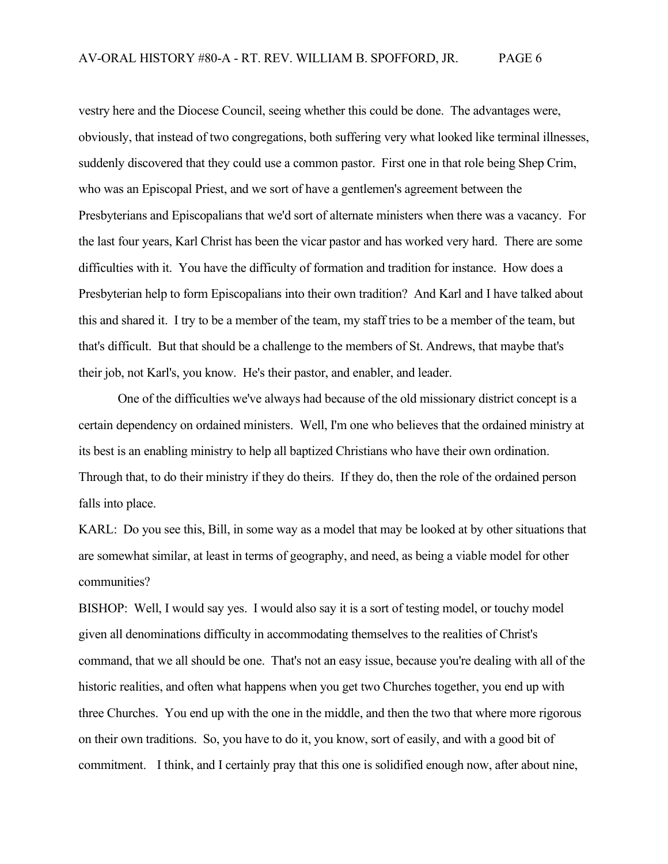vestry here and the Diocese Council, seeing whether this could be done. The advantages were, obviously, that instead of two congregations, both suffering very what looked like terminal illnesses, suddenly discovered that they could use a common pastor. First one in that role being Shep Crim, who was an Episcopal Priest, and we sort of have a gentlemen's agreement between the Presbyterians and Episcopalians that we'd sort of alternate ministers when there was a vacancy. For the last four years, Karl Christ has been the vicar pastor and has worked very hard. There are some difficulties with it. You have the difficulty of formation and tradition for instance. How does a Presbyterian help to form Episcopalians into their own tradition? And Karl and I have talked about this and shared it. I try to be a member of the team, my staff tries to be a member of the team, but that's difficult. But that should be a challenge to the members of St. Andrews, that maybe that's their job, not Karl's, you know. He's their pastor, and enabler, and leader.

One of the difficulties we've always had because of the old missionary district concept is a certain dependency on ordained ministers. Well, I'm one who believes that the ordained ministry at its best is an enabling ministry to help all baptized Christians who have their own ordination. Through that, to do their ministry if they do theirs. If they do, then the role of the ordained person falls into place.

KARL: Do you see this, Bill, in some way as a model that may be looked at by other situations that are somewhat similar, at least in terms of geography, and need, as being a viable model for other communities?

BISHOP: Well, I would say yes. I would also say it is a sort of testing model, or touchy model given all denominations difficulty in accommodating themselves to the realities of Christ's command, that we all should be one. That's not an easy issue, because you're dealing with all of the historic realities, and often what happens when you get two Churches together, you end up with three Churches. You end up with the one in the middle, and then the two that where more rigorous on their own traditions. So, you have to do it, you know, sort of easily, and with a good bit of commitment. I think, and I certainly pray that this one is solidified enough now, after about nine,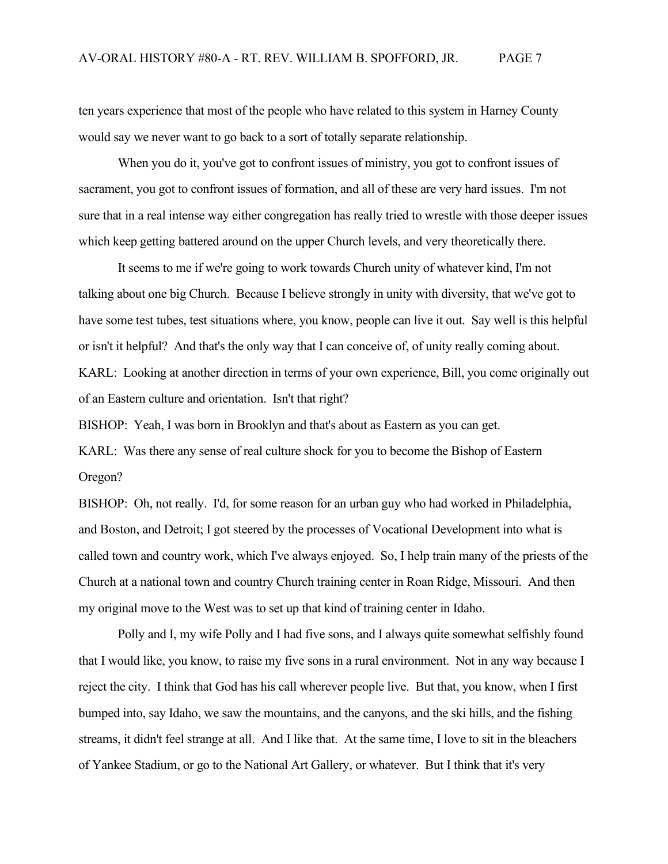ten years experience that most of the people who have related to this system in Harney County would say we never want to go back to a sort of totally separate relationship.

When you do it, you've got to confront issues of ministry, you got to confront issues of sacrament, you got to confront issues of formation, and all of these are very hard issues. I'm not sure that in a real intense way either congregation has really tried to wrestle with those deeper issues which keep getting battered around on the upper Church levels, and very theoretically there.

It seems to me if we're going to work towards Church unity of whatever kind, I'm not talking about one big Church. Because I believe strongly in unity with diversity, that we've got to have some test tubes, test situations where, you know, people can live it out. Say well is this helpful or isn't it helpful? And that's the only way that I can conceive of, of unity really coming about. KARL: Looking at another direction in terms of your own experience, Bill, you come originally out of an Eastern culture and orientation. Isn't that right?

BISHOP: Yeah, I was born in Brooklyn and that's about as Eastern as you can get.

KARL: Was there any sense of real culture shock for you to become the Bishop of Eastern Oregon?

BISHOP: Oh, not really. I'd, for some reason for an urban guy who had worked in Philadelphia, and Boston, and Detroit; I got steered by the processes of Vocational Development into what is called town and country work, which I've always enjoyed. So, I help train many of the priests of the Church at a national town and country Church training center in Roan Ridge, Missouri. And then my original move to the West was to set up that kind of training center in Idaho.

Polly and I, my wife Polly and I had five sons, and I always quite somewhat selfishly found that I would like, you know, to raise my five sons in a rural environment. Not in any way because I reject the city. I think that God has his call wherever people live. But that, you know, when I first bumped into, say Idaho, we saw the mountains, and the canyons, and the ski hills, and the fishing streams, it didn't feel strange at all. And I like that. At the same time, I love to sit in the bleachers of Yankee Stadium, or go to the National Art Gallery, or whatever. But I think that it's very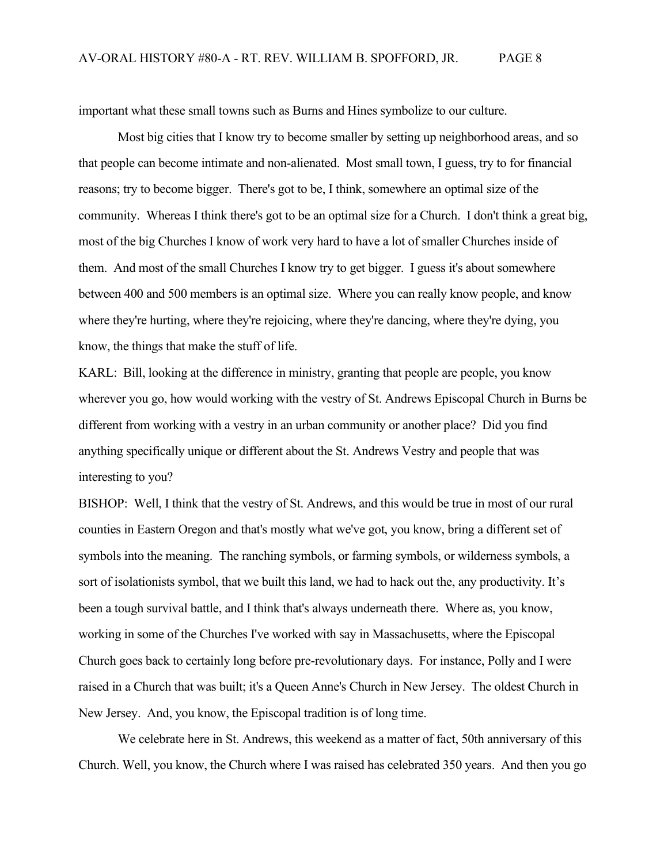important what these small towns such as Burns and Hines symbolize to our culture.

Most big cities that I know try to become smaller by setting up neighborhood areas, and so that people can become intimate and non-alienated. Most small town, I guess, try to for financial reasons; try to become bigger. There's got to be, I think, somewhere an optimal size of the community. Whereas I think there's got to be an optimal size for a Church. I don't think a great big, most of the big Churches I know of work very hard to have a lot of smaller Churches inside of them. And most of the small Churches I know try to get bigger. I guess it's about somewhere between 400 and 500 members is an optimal size. Where you can really know people, and know where they're hurting, where they're rejoicing, where they're dancing, where they're dying, you know, the things that make the stuff of life.

KARL: Bill, looking at the difference in ministry, granting that people are people, you know wherever you go, how would working with the vestry of St. Andrews Episcopal Church in Burns be different from working with a vestry in an urban community or another place? Did you find anything specifically unique or different about the St. Andrews Vestry and people that was interesting to you?

BISHOP: Well, I think that the vestry of St. Andrews, and this would be true in most of our rural counties in Eastern Oregon and that's mostly what we've got, you know, bring a different set of symbols into the meaning. The ranching symbols, or farming symbols, or wilderness symbols, a sort of isolationists symbol, that we built this land, we had to hack out the, any productivity. It's been a tough survival battle, and I think that's always underneath there. Where as, you know, working in some of the Churches I've worked with say in Massachusetts, where the Episcopal Church goes back to certainly long before pre-revolutionary days. For instance, Polly and I were raised in a Church that was built; it's a Queen Anne's Church in New Jersey. The oldest Church in New Jersey. And, you know, the Episcopal tradition is of long time.

We celebrate here in St. Andrews, this weekend as a matter of fact, 50th anniversary of this Church. Well, you know, the Church where I was raised has celebrated 350 years. And then you go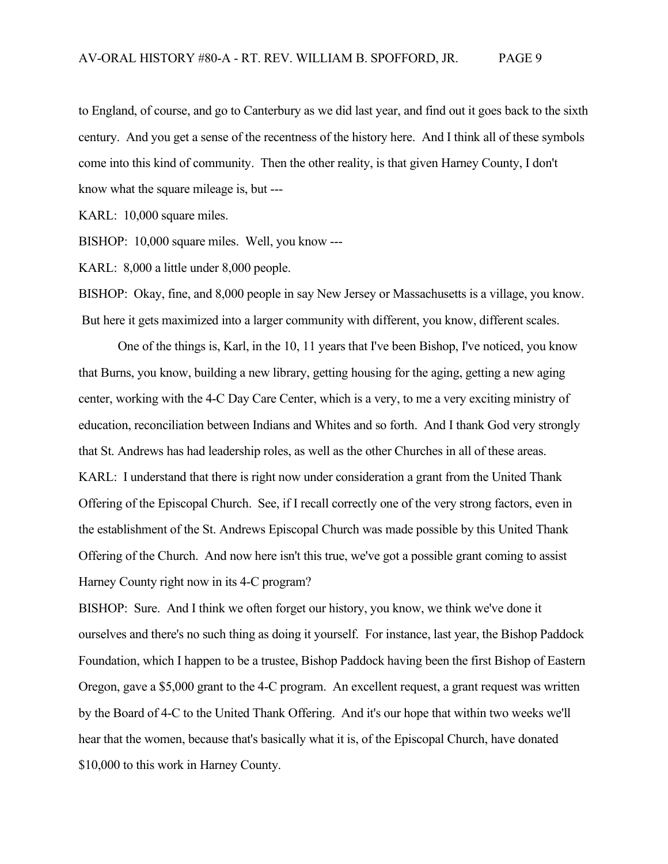to England, of course, and go to Canterbury as we did last year, and find out it goes back to the sixth century. And you get a sense of the recentness of the history here. And I think all of these symbols come into this kind of community. Then the other reality, is that given Harney County, I don't know what the square mileage is, but ---

KARL: 10,000 square miles.

BISHOP: 10,000 square miles. Well, you know ---

KARL: 8,000 a little under 8,000 people.

BISHOP: Okay, fine, and 8,000 people in say New Jersey or Massachusetts is a village, you know. But here it gets maximized into a larger community with different, you know, different scales.

One of the things is, Karl, in the 10, 11 years that I've been Bishop, I've noticed, you know that Burns, you know, building a new library, getting housing for the aging, getting a new aging center, working with the 4-C Day Care Center, which is a very, to me a very exciting ministry of education, reconciliation between Indians and Whites and so forth. And I thank God very strongly that St. Andrews has had leadership roles, as well as the other Churches in all of these areas. KARL: I understand that there is right now under consideration a grant from the United Thank Offering of the Episcopal Church. See, if I recall correctly one of the very strong factors, even in the establishment of the St. Andrews Episcopal Church was made possible by this United Thank Offering of the Church. And now here isn't this true, we've got a possible grant coming to assist Harney County right now in its 4-C program?

BISHOP: Sure. And I think we often forget our history, you know, we think we've done it ourselves and there's no such thing as doing it yourself. For instance, last year, the Bishop Paddock Foundation, which I happen to be a trustee, Bishop Paddock having been the first Bishop of Eastern Oregon, gave a \$5,000 grant to the 4-C program. An excellent request, a grant request was written by the Board of 4-C to the United Thank Offering. And it's our hope that within two weeks we'll hear that the women, because that's basically what it is, of the Episcopal Church, have donated \$10,000 to this work in Harney County.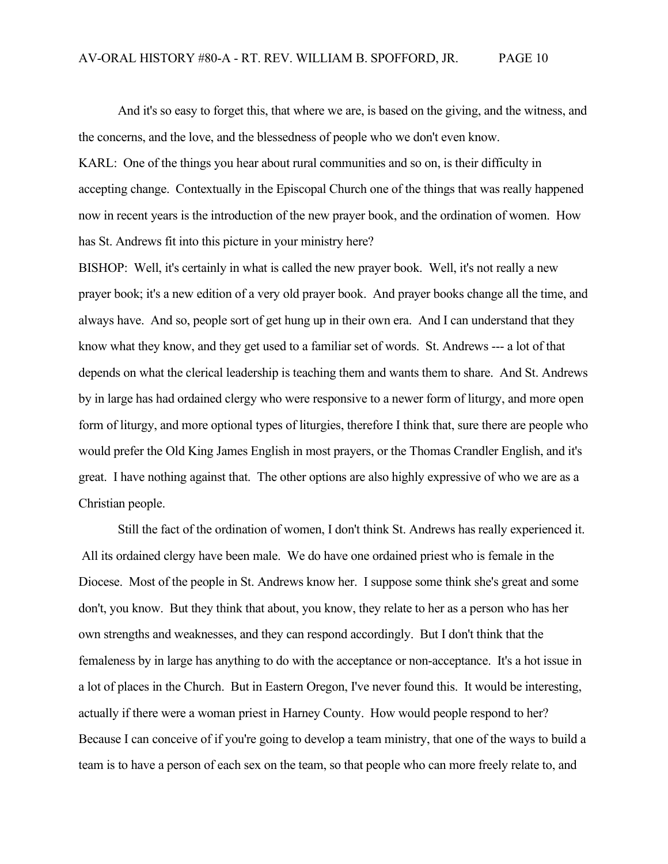And it's so easy to forget this, that where we are, is based on the giving, and the witness, and the concerns, and the love, and the blessedness of people who we don't even know.

KARL: One of the things you hear about rural communities and so on, is their difficulty in accepting change. Contextually in the Episcopal Church one of the things that was really happened now in recent years is the introduction of the new prayer book, and the ordination of women. How has St. Andrews fit into this picture in your ministry here?

BISHOP: Well, it's certainly in what is called the new prayer book. Well, it's not really a new prayer book; it's a new edition of a very old prayer book. And prayer books change all the time, and always have. And so, people sort of get hung up in their own era. And I can understand that they know what they know, and they get used to a familiar set of words. St. Andrews --- a lot of that depends on what the clerical leadership is teaching them and wants them to share. And St. Andrews by in large has had ordained clergy who were responsive to a newer form of liturgy, and more open form of liturgy, and more optional types of liturgies, therefore I think that, sure there are people who would prefer the Old King James English in most prayers, or the Thomas Crandler English, and it's great. I have nothing against that. The other options are also highly expressive of who we are as a Christian people.

Still the fact of the ordination of women, I don't think St. Andrews has really experienced it. All its ordained clergy have been male. We do have one ordained priest who is female in the Diocese. Most of the people in St. Andrews know her. I suppose some think she's great and some don't, you know. But they think that about, you know, they relate to her as a person who has her own strengths and weaknesses, and they can respond accordingly. But I don't think that the femaleness by in large has anything to do with the acceptance or non-acceptance. It's a hot issue in a lot of places in the Church. But in Eastern Oregon, I've never found this. It would be interesting, actually if there were a woman priest in Harney County. How would people respond to her? Because I can conceive of if you're going to develop a team ministry, that one of the ways to build a team is to have a person of each sex on the team, so that people who can more freely relate to, and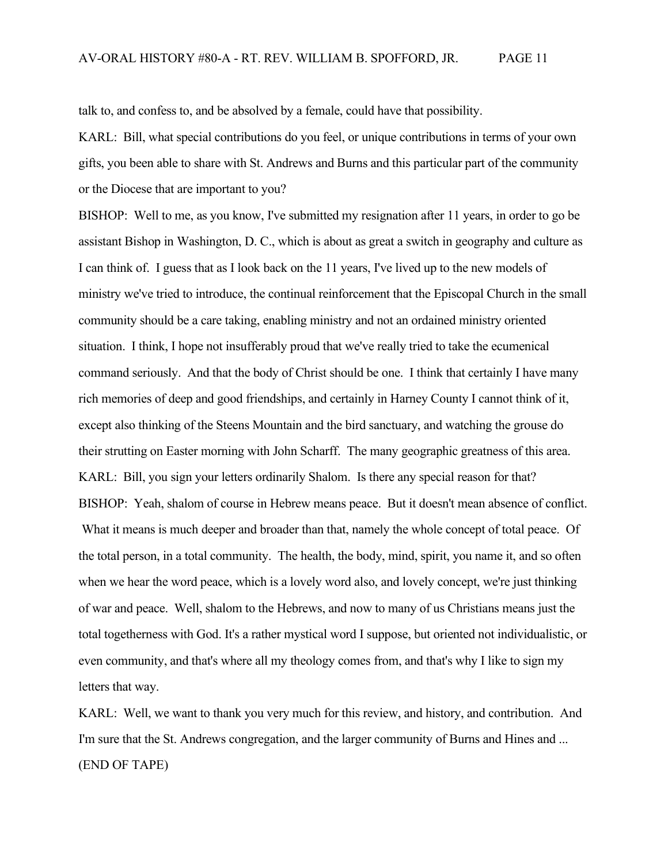talk to, and confess to, and be absolved by a female, could have that possibility.

KARL: Bill, what special contributions do you feel, or unique contributions in terms of your own gifts, you been able to share with St. Andrews and Burns and this particular part of the community or the Diocese that are important to you?

BISHOP: Well to me, as you know, I've submitted my resignation after 11 years, in order to go be assistant Bishop in Washington, D. C., which is about as great a switch in geography and culture as I can think of. I guess that as I look back on the 11 years, I've lived up to the new models of ministry we've tried to introduce, the continual reinforcement that the Episcopal Church in the small community should be a care taking, enabling ministry and not an ordained ministry oriented situation. I think, I hope not insufferably proud that we've really tried to take the ecumenical command seriously. And that the body of Christ should be one. I think that certainly I have many rich memories of deep and good friendships, and certainly in Harney County I cannot think of it, except also thinking of the Steens Mountain and the bird sanctuary, and watching the grouse do their strutting on Easter morning with John Scharff. The many geographic greatness of this area. KARL: Bill, you sign your letters ordinarily Shalom. Is there any special reason for that? BISHOP: Yeah, shalom of course in Hebrew means peace. But it doesn't mean absence of conflict. What it means is much deeper and broader than that, namely the whole concept of total peace. Of the total person, in a total community. The health, the body, mind, spirit, you name it, and so often when we hear the word peace, which is a lovely word also, and lovely concept, we're just thinking of war and peace. Well, shalom to the Hebrews, and now to many of us Christians means just the total togetherness with God. It's a rather mystical word I suppose, but oriented not individualistic, or even community, and that's where all my theology comes from, and that's why I like to sign my letters that way.

KARL: Well, we want to thank you very much for this review, and history, and contribution. And I'm sure that the St. Andrews congregation, and the larger community of Burns and Hines and ... (END OF TAPE)